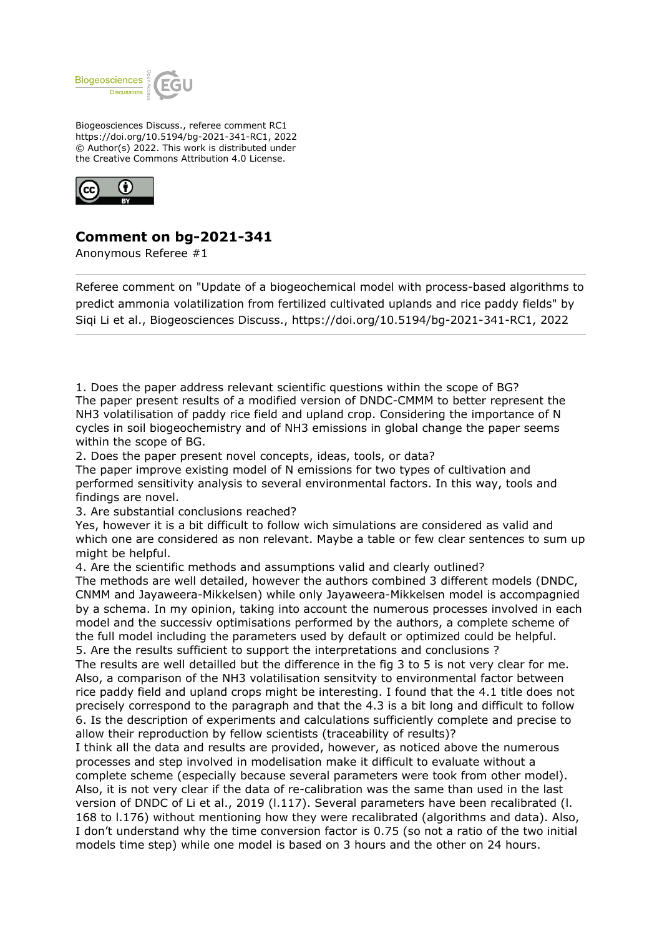

Biogeosciences Discuss., referee comment RC1 https://doi.org/10.5194/bg-2021-341-RC1, 2022 © Author(s) 2022. This work is distributed under the Creative Commons Attribution 4.0 License.



## **Comment on bg-2021-341**

Anonymous Referee #1

Referee comment on "Update of a biogeochemical model with process-based algorithms to predict ammonia volatilization from fertilized cultivated uplands and rice paddy fields" by Siqi Li et al., Biogeosciences Discuss., https://doi.org/10.5194/bg-2021-341-RC1, 2022

1. Does the paper address relevant scientific questions within the scope of BG? The paper present results of a modified version of DNDC-CMMM to better represent the NH3 volatilisation of paddy rice field and upland crop. Considering the importance of N cycles in soil biogeochemistry and of NH3 emissions in global change the paper seems within the scope of BG.

2. Does the paper present novel concepts, ideas, tools, or data?

The paper improve existing model of N emissions for two types of cultivation and performed sensitivity analysis to several environmental factors. In this way, tools and findings are novel.

3. Are substantial conclusions reached?

Yes, however it is a bit difficult to follow wich simulations are considered as valid and which one are considered as non relevant. Maybe a table or few clear sentences to sum up might be helpful.

4. Are the scientific methods and assumptions valid and clearly outlined?

The methods are well detailed, however the authors combined 3 different models (DNDC, CNMM and Jayaweera-Mikkelsen) while only Jayaweera-Mikkelsen model is accompagnied by a schema. In my opinion, taking into account the numerous processes involved in each model and the successiv optimisations performed by the authors, a complete scheme of the full model including the parameters used by default or optimized could be helpful. 5. Are the results sufficient to support the interpretations and conclusions ?

The results are well detailled but the difference in the fig 3 to 5 is not very clear for me. Also, a comparison of the NH3 volatilisation sensitvity to environmental factor between rice paddy field and upland crops might be interesting. I found that the 4.1 title does not precisely correspond to the paragraph and that the 4.3 is a bit long and difficult to follow 6. Is the description of experiments and calculations sufficiently complete and precise to allow their reproduction by fellow scientists (traceability of results)?

I think all the data and results are provided, however, as noticed above the numerous processes and step involved in modelisation make it difficult to evaluate without a complete scheme (especially because several parameters were took from other model). Also, it is not very clear if the data of re-calibration was the same than used in the last version of DNDC of Li et al., 2019 (l.117). Several parameters have been recalibrated (l. 168 to l.176) without mentioning how they were recalibrated (algorithms and data). Also, I don't understand why the time conversion factor is 0.75 (so not a ratio of the two initial models time step) while one model is based on 3 hours and the other on 24 hours.